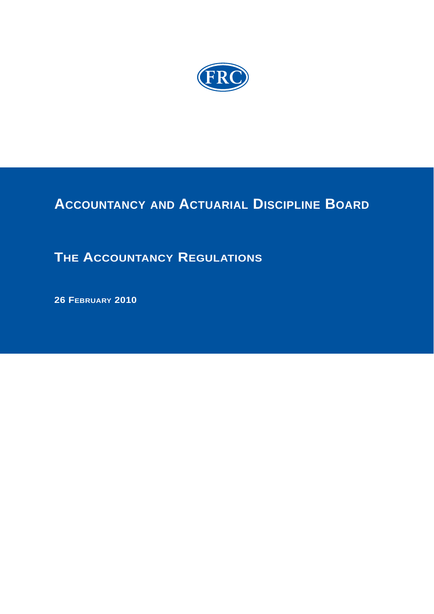

# **ACCOUNTANCY AND ACTUARIAL DISCIPLINE BOARD**

# **THE ACCOUNTANCY REGULATIONS**

 **26 FEBRUARY 2010**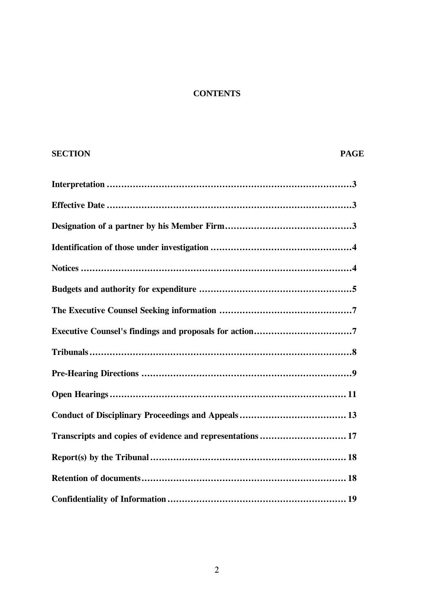## **CONTENTS**

## **SECTION PAGE**

| Transcripts and copies of evidence and representations  17 |
|------------------------------------------------------------|
|                                                            |
|                                                            |
|                                                            |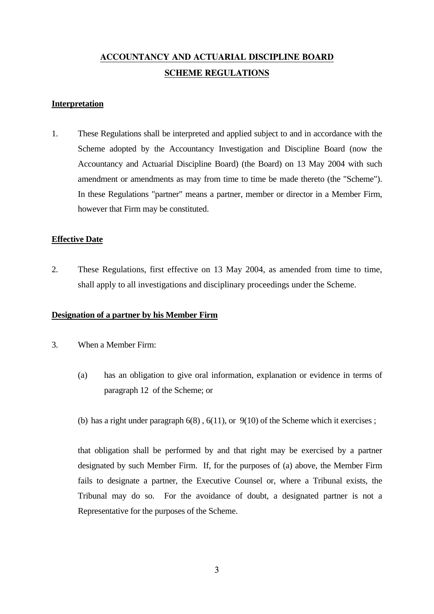# **ACCOUNTANCY AND ACTUARIAL DISCIPLINE BOARD SCHEME REGULATIONS**

#### **Interpretation**

1. These Regulations shall be interpreted and applied subject to and in accordance with the Scheme adopted by the Accountancy Investigation and Discipline Board (now the Accountancy and Actuarial Discipline Board) (the Board) on 13 May 2004 with such amendment or amendments as may from time to time be made thereto (the "Scheme"). In these Regulations "partner" means a partner, member or director in a Member Firm, however that Firm may be constituted.

#### **Effective Date**

2. These Regulations, first effective on 13 May 2004, as amended from time to time, shall apply to all investigations and disciplinary proceedings under the Scheme.

#### **Designation of a partner by his Member Firm**

- 3. When a Member Firm:
	- (a) has an obligation to give oral information, explanation or evidence in terms of paragraph 12 of the Scheme; or
	- (b) has a right under paragraph  $6(8)$ ,  $6(11)$ , or  $9(10)$  of the Scheme which it exercises;

 that obligation shall be performed by and that right may be exercised by a partner designated by such Member Firm. If, for the purposes of (a) above, the Member Firm fails to designate a partner, the Executive Counsel or, where a Tribunal exists, the Tribunal may do so. For the avoidance of doubt, a designated partner is not a Representative for the purposes of the Scheme.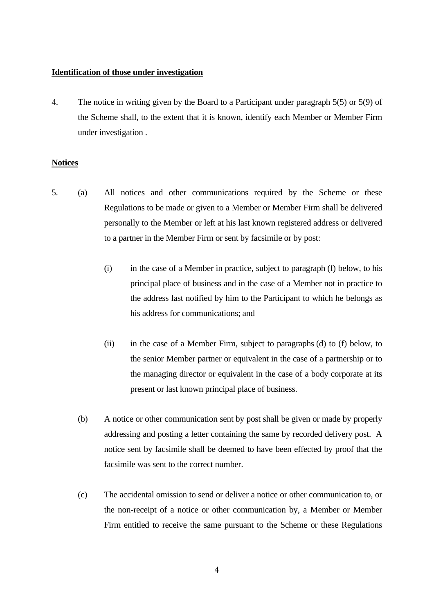#### **Identification of those under investigation**

4. The notice in writing given by the Board to a Participant under paragraph 5(5) or 5(9) of the Scheme shall, to the extent that it is known, identify each Member or Member Firm under investigation .

#### **Notices**

- 5. (a) All notices and other communications required by the Scheme or these Regulations to be made or given to a Member or Member Firm shall be delivered personally to the Member or left at his last known registered address or delivered to a partner in the Member Firm or sent by facsimile or by post:
	- (i) in the case of a Member in practice, subject to paragraph (f) below, to his principal place of business and in the case of a Member not in practice to the address last notified by him to the Participant to which he belongs as his address for communications; and
	- (ii) in the case of a Member Firm, subject to paragraphs (d) to (f) below, to the senior Member partner or equivalent in the case of a partnership or to the managing director or equivalent in the case of a body corporate at its present or last known principal place of business.
	- (b) A notice or other communication sent by post shall be given or made by properly addressing and posting a letter containing the same by recorded delivery post. A notice sent by facsimile shall be deemed to have been effected by proof that the facsimile was sent to the correct number.
	- (c) The accidental omission to send or deliver a notice or other communication to, or the non-receipt of a notice or other communication by, a Member or Member Firm entitled to receive the same pursuant to the Scheme or these Regulations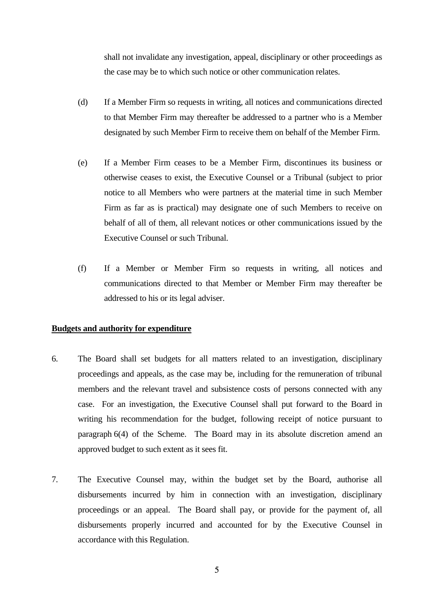shall not invalidate any investigation, appeal, disciplinary or other proceedings as the case may be to which such notice or other communication relates.

- (d) If a Member Firm so requests in writing, all notices and communications directed to that Member Firm may thereafter be addressed to a partner who is a Member designated by such Member Firm to receive them on behalf of the Member Firm.
- (e) If a Member Firm ceases to be a Member Firm, discontinues its business or otherwise ceases to exist, the Executive Counsel or a Tribunal (subject to prior notice to all Members who were partners at the material time in such Member Firm as far as is practical) may designate one of such Members to receive on behalf of all of them, all relevant notices or other communications issued by the Executive Counsel or such Tribunal.
- (f) If a Member or Member Firm so requests in writing, all notices and communications directed to that Member or Member Firm may thereafter be addressed to his or its legal adviser.

#### **Budgets and authority for expenditure**

- 6. The Board shall set budgets for all matters related to an investigation, disciplinary proceedings and appeals, as the case may be, including for the remuneration of tribunal members and the relevant travel and subsistence costs of persons connected with any case. For an investigation, the Executive Counsel shall put forward to the Board in writing his recommendation for the budget, following receipt of notice pursuant to paragraph 6(4) of the Scheme. The Board may in its absolute discretion amend an approved budget to such extent as it sees fit.
- 7. The Executive Counsel may, within the budget set by the Board, authorise all disbursements incurred by him in connection with an investigation, disciplinary proceedings or an appeal. The Board shall pay, or provide for the payment of, all disbursements properly incurred and accounted for by the Executive Counsel in accordance with this Regulation.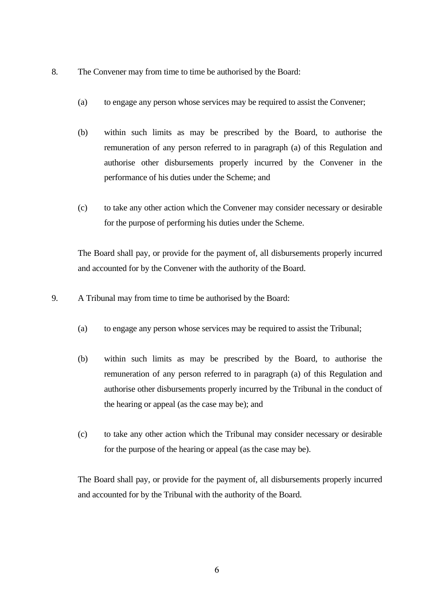- 8. The Convener may from time to time be authorised by the Board:
	- (a) to engage any person whose services may be required to assist the Convener;
	- (b) within such limits as may be prescribed by the Board, to authorise the remuneration of any person referred to in paragraph (a) of this Regulation and authorise other disbursements properly incurred by the Convener in the performance of his duties under the Scheme; and
	- (c) to take any other action which the Convener may consider necessary or desirable for the purpose of performing his duties under the Scheme.

 The Board shall pay, or provide for the payment of, all disbursements properly incurred and accounted for by the Convener with the authority of the Board.

9. A Tribunal may from time to time be authorised by the Board:

- (a) to engage any person whose services may be required to assist the Tribunal;
- (b) within such limits as may be prescribed by the Board, to authorise the remuneration of any person referred to in paragraph (a) of this Regulation and authorise other disbursements properly incurred by the Tribunal in the conduct of the hearing or appeal (as the case may be); and
- (c) to take any other action which the Tribunal may consider necessary or desirable for the purpose of the hearing or appeal (as the case may be).

 The Board shall pay, or provide for the payment of, all disbursements properly incurred and accounted for by the Tribunal with the authority of the Board.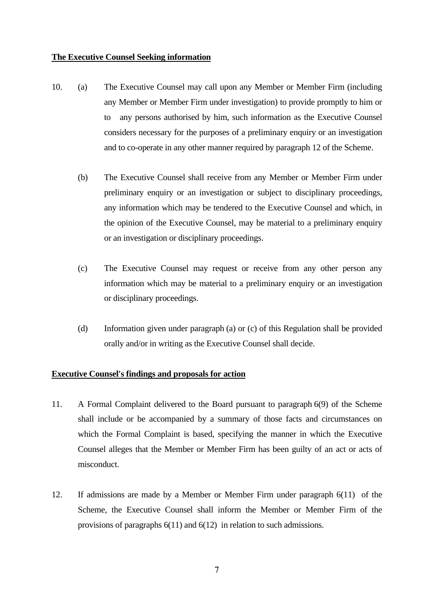#### **The Executive Counsel Seeking information**

- 10. (a) The Executive Counsel may call upon any Member or Member Firm (including any Member or Member Firm under investigation) to provide promptly to him or to any persons authorised by him, such information as the Executive Counsel considers necessary for the purposes of a preliminary enquiry or an investigation and to co-operate in any other manner required by paragraph 12 of the Scheme.
	- (b) The Executive Counsel shall receive from any Member or Member Firm under preliminary enquiry or an investigation or subject to disciplinary proceedings, any information which may be tendered to the Executive Counsel and which, in the opinion of the Executive Counsel, may be material to a preliminary enquiry or an investigation or disciplinary proceedings.
	- (c) The Executive Counsel may request or receive from any other person any information which may be material to a preliminary enquiry or an investigation or disciplinary proceedings.
	- (d) Information given under paragraph (a) or (c) of this Regulation shall be provided orally and/or in writing as the Executive Counsel shall decide.

### **Executive Counsel's findings and proposals for action**

- 11. A Formal Complaint delivered to the Board pursuant to paragraph 6(9) of the Scheme shall include or be accompanied by a summary of those facts and circumstances on which the Formal Complaint is based, specifying the manner in which the Executive Counsel alleges that the Member or Member Firm has been guilty of an act or acts of misconduct.
- 12. If admissions are made by a Member or Member Firm under paragraph 6(11) of the Scheme, the Executive Counsel shall inform the Member or Member Firm of the provisions of paragraphs 6(11) and 6(12) in relation to such admissions.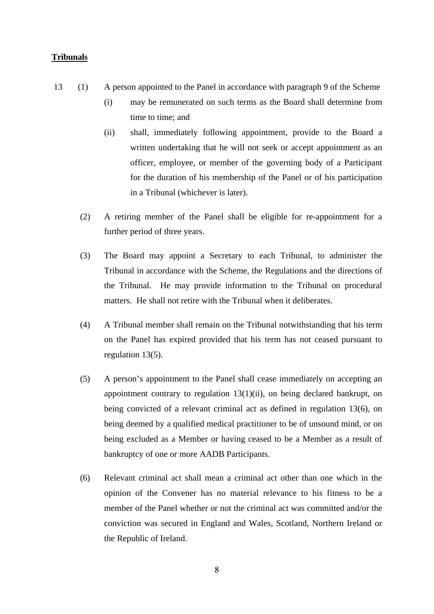#### **Tribunals**

- 13 (1) A person appointed to the Panel in accordance with paragraph 9 of the Scheme
	- (i) may be remunerated on such terms as the Board shall determine from time to time; and
	- (ii) shall, immediately following appointment, provide to the Board a written undertaking that he will not seek or accept appointment as an officer, employee, or member of the governing body of a Participant for the duration of his membership of the Panel or of his participation in a Tribunal (whichever is later).
	- (2) A retiring member of the Panel shall be eligible for re-appointment for a further period of three years.
	- (3) The Board may appoint a Secretary to each Tribunal, to administer the Tribunal in accordance with the Scheme, the Regulations and the directions of the Tribunal. He may provide information to the Tribunal on procedural matters. He shall not retire with the Tribunal when it deliberates.
	- (4) A Tribunal member shall remain on the Tribunal notwithstanding that his term on the Panel has expired provided that his term has not ceased pursuant to regulation 13(5).
	- (5) A person's appointment to the Panel shall cease immediately on accepting an appointment contrary to regulation 13(1)(ii), on being declared bankrupt, on being convicted of a relevant criminal act as defined in regulation 13(6), on being deemed by a qualified medical practitioner to be of unsound mind, or on being excluded as a Member or having ceased to be a Member as a result of bankruptcy of one or more AADB Participants.
	- (6) Relevant criminal act shall mean a criminal act other than one which in the opinion of the Convener has no material relevance to his fitness to be a member of the Panel whether or not the criminal act was committed and/or the conviction was secured in England and Wales, Scotland, Northern Ireland or the Republic of Ireland.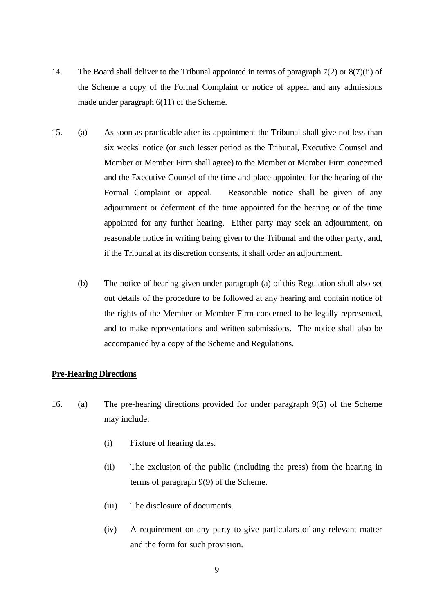- 14. The Board shall deliver to the Tribunal appointed in terms of paragraph 7(2) or 8(7)(ii) of the Scheme a copy of the Formal Complaint or notice of appeal and any admissions made under paragraph 6(11) of the Scheme.
- 15. (a) As soon as practicable after its appointment the Tribunal shall give not less than six weeks' notice (or such lesser period as the Tribunal, Executive Counsel and Member or Member Firm shall agree) to the Member or Member Firm concerned and the Executive Counsel of the time and place appointed for the hearing of the Formal Complaint or appeal. Reasonable notice shall be given of any adjournment or deferment of the time appointed for the hearing or of the time appointed for any further hearing. Either party may seek an adjournment, on reasonable notice in writing being given to the Tribunal and the other party, and, if the Tribunal at its discretion consents, it shall order an adjournment.
	- (b) The notice of hearing given under paragraph (a) of this Regulation shall also set out details of the procedure to be followed at any hearing and contain notice of the rights of the Member or Member Firm concerned to be legally represented, and to make representations and written submissions. The notice shall also be accompanied by a copy of the Scheme and Regulations.

#### **Pre-Hearing Directions**

- 16. (a) The pre-hearing directions provided for under paragraph 9(5) of the Scheme may include:
	- (i) Fixture of hearing dates.
	- (ii) The exclusion of the public (including the press) from the hearing in terms of paragraph 9(9) of the Scheme.
	- (iii) The disclosure of documents.
	- (iv) A requirement on any party to give particulars of any relevant matter and the form for such provision.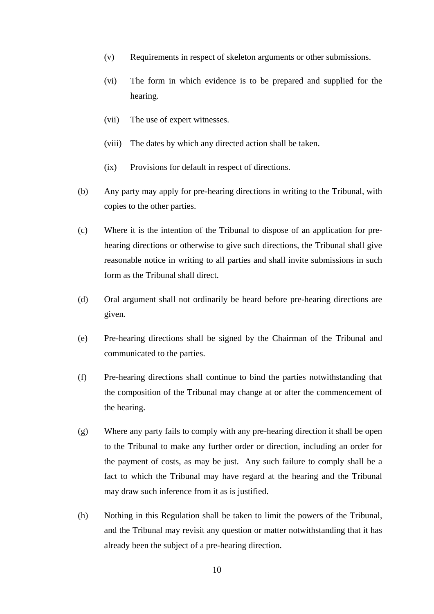- (v) Requirements in respect of skeleton arguments or other submissions.
- (vi) The form in which evidence is to be prepared and supplied for the hearing.
- (vii) The use of expert witnesses.
- (viii) The dates by which any directed action shall be taken.
- (ix) Provisions for default in respect of directions.
- (b) Any party may apply for pre-hearing directions in writing to the Tribunal, with copies to the other parties.
- (c) Where it is the intention of the Tribunal to dispose of an application for prehearing directions or otherwise to give such directions, the Tribunal shall give reasonable notice in writing to all parties and shall invite submissions in such form as the Tribunal shall direct.
- (d) Oral argument shall not ordinarily be heard before pre-hearing directions are given.
- (e) Pre-hearing directions shall be signed by the Chairman of the Tribunal and communicated to the parties.
- (f) Pre-hearing directions shall continue to bind the parties notwithstanding that the composition of the Tribunal may change at or after the commencement of the hearing.
- (g) Where any party fails to comply with any pre-hearing direction it shall be open to the Tribunal to make any further order or direction, including an order for the payment of costs, as may be just. Any such failure to comply shall be a fact to which the Tribunal may have regard at the hearing and the Tribunal may draw such inference from it as is justified.
- (h) Nothing in this Regulation shall be taken to limit the powers of the Tribunal, and the Tribunal may revisit any question or matter notwithstanding that it has already been the subject of a pre-hearing direction.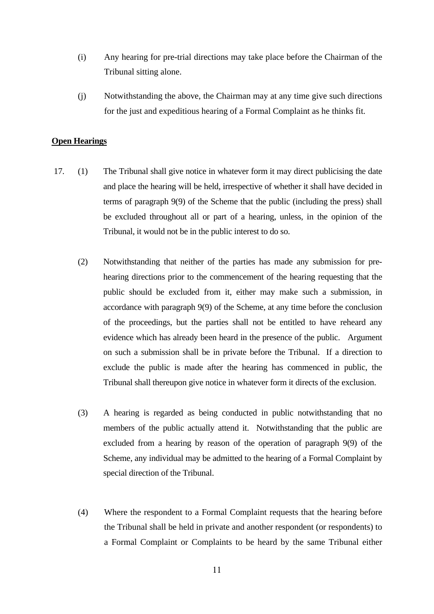- (i) Any hearing for pre-trial directions may take place before the Chairman of the Tribunal sitting alone.
- (j) Notwithstanding the above, the Chairman may at any time give such directions for the just and expeditious hearing of a Formal Complaint as he thinks fit.

#### **Open Hearings**

- 17. (1) The Tribunal shall give notice in whatever form it may direct publicising the date and place the hearing will be held, irrespective of whether it shall have decided in terms of paragraph 9(9) of the Scheme that the public (including the press) shall be excluded throughout all or part of a hearing, unless, in the opinion of the Tribunal, it would not be in the public interest to do so.
	- (2) Notwithstanding that neither of the parties has made any submission for prehearing directions prior to the commencement of the hearing requesting that the public should be excluded from it, either may make such a submission, in accordance with paragraph 9(9) of the Scheme, at any time before the conclusion of the proceedings, but the parties shall not be entitled to have reheard any evidence which has already been heard in the presence of the public. Argument on such a submission shall be in private before the Tribunal. If a direction to exclude the public is made after the hearing has commenced in public, the Tribunal shall thereupon give notice in whatever form it directs of the exclusion.
	- (3) A hearing is regarded as being conducted in public notwithstanding that no members of the public actually attend it. Notwithstanding that the public are excluded from a hearing by reason of the operation of paragraph 9(9) of the Scheme, any individual may be admitted to the hearing of a Formal Complaint by special direction of the Tribunal.
	- (4) Where the respondent to a Formal Complaint requests that the hearing before the Tribunal shall be held in private and another respondent (or respondents) to a Formal Complaint or Complaints to be heard by the same Tribunal either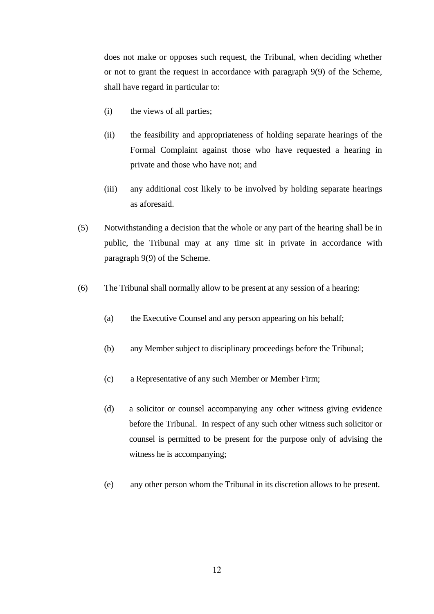does not make or opposes such request, the Tribunal, when deciding whether or not to grant the request in accordance with paragraph 9(9) of the Scheme, shall have regard in particular to:

- (i) the views of all parties;
- (ii) the feasibility and appropriateness of holding separate hearings of the Formal Complaint against those who have requested a hearing in private and those who have not; and
- (iii) any additional cost likely to be involved by holding separate hearings as aforesaid.
- (5) Notwithstanding a decision that the whole or any part of the hearing shall be in public, the Tribunal may at any time sit in private in accordance with paragraph 9(9) of the Scheme.
- (6) The Tribunal shall normally allow to be present at any session of a hearing:
	- (a) the Executive Counsel and any person appearing on his behalf;
	- (b) any Member subject to disciplinary proceedings before the Tribunal;
	- (c) a Representative of any such Member or Member Firm;
	- (d) a solicitor or counsel accompanying any other witness giving evidence before the Tribunal. In respect of any such other witness such solicitor or counsel is permitted to be present for the purpose only of advising the witness he is accompanying;
	- (e) any other person whom the Tribunal in its discretion allows to be present.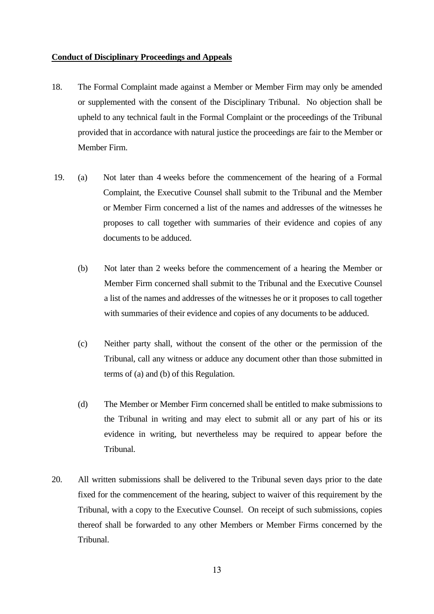#### **Conduct of Disciplinary Proceedings and Appeals**

- 18. The Formal Complaint made against a Member or Member Firm may only be amended or supplemented with the consent of the Disciplinary Tribunal. No objection shall be upheld to any technical fault in the Formal Complaint or the proceedings of the Tribunal provided that in accordance with natural justice the proceedings are fair to the Member or Member Firm.
- 19. (a) Not later than 4 weeks before the commencement of the hearing of a Formal Complaint, the Executive Counsel shall submit to the Tribunal and the Member or Member Firm concerned a list of the names and addresses of the witnesses he proposes to call together with summaries of their evidence and copies of any documents to be adduced.
	- (b) Not later than 2 weeks before the commencement of a hearing the Member or Member Firm concerned shall submit to the Tribunal and the Executive Counsel a list of the names and addresses of the witnesses he or it proposes to call together with summaries of their evidence and copies of any documents to be adduced.
	- (c) Neither party shall, without the consent of the other or the permission of the Tribunal, call any witness or adduce any document other than those submitted in terms of (a) and (b) of this Regulation.
	- (d) The Member or Member Firm concerned shall be entitled to make submissions to the Tribunal in writing and may elect to submit all or any part of his or its evidence in writing, but nevertheless may be required to appear before the Tribunal.
- 20. All written submissions shall be delivered to the Tribunal seven days prior to the date fixed for the commencement of the hearing, subject to waiver of this requirement by the Tribunal, with a copy to the Executive Counsel. On receipt of such submissions, copies thereof shall be forwarded to any other Members or Member Firms concerned by the Tribunal.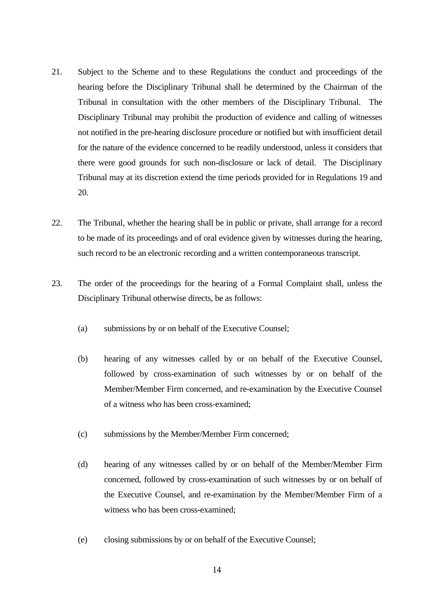- 21. Subject to the Scheme and to these Regulations the conduct and proceedings of the hearing before the Disciplinary Tribunal shall be determined by the Chairman of the Tribunal in consultation with the other members of the Disciplinary Tribunal. The Disciplinary Tribunal may prohibit the production of evidence and calling of witnesses not notified in the pre-hearing disclosure procedure or notified but with insufficient detail for the nature of the evidence concerned to be readily understood, unless it considers that there were good grounds for such non-disclosure or lack of detail. The Disciplinary Tribunal may at its discretion extend the time periods provided for in Regulations 19 and 20.
- 22. The Tribunal, whether the hearing shall be in public or private, shall arrange for a record to be made of its proceedings and of oral evidence given by witnesses during the hearing, such record to be an electronic recording and a written contemporaneous transcript.
- 23. The order of the proceedings for the hearing of a Formal Complaint shall, unless the Disciplinary Tribunal otherwise directs, be as follows:
	- (a) submissions by or on behalf of the Executive Counsel;
	- (b) hearing of any witnesses called by or on behalf of the Executive Counsel, followed by cross-examination of such witnesses by or on behalf of the Member/Member Firm concerned, and re-examination by the Executive Counsel of a witness who has been cross-examined;
	- (c) submissions by the Member/Member Firm concerned;
	- (d) hearing of any witnesses called by or on behalf of the Member/Member Firm concerned, followed by cross-examination of such witnesses by or on behalf of the Executive Counsel, and re-examination by the Member/Member Firm of a witness who has been cross-examined;
	- (e) closing submissions by or on behalf of the Executive Counsel;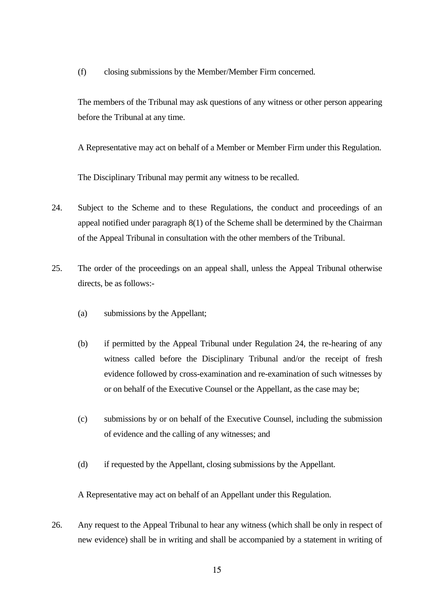(f) closing submissions by the Member/Member Firm concerned.

 The members of the Tribunal may ask questions of any witness or other person appearing before the Tribunal at any time.

A Representative may act on behalf of a Member or Member Firm under this Regulation.

The Disciplinary Tribunal may permit any witness to be recalled.

- 24. Subject to the Scheme and to these Regulations, the conduct and proceedings of an appeal notified under paragraph 8(1) of the Scheme shall be determined by the Chairman of the Appeal Tribunal in consultation with the other members of the Tribunal.
- 25. The order of the proceedings on an appeal shall, unless the Appeal Tribunal otherwise directs, be as follows:-
	- (a) submissions by the Appellant;
	- (b) if permitted by the Appeal Tribunal under Regulation 24, the re-hearing of any witness called before the Disciplinary Tribunal and/or the receipt of fresh evidence followed by cross-examination and re-examination of such witnesses by or on behalf of the Executive Counsel or the Appellant, as the case may be;
	- (c) submissions by or on behalf of the Executive Counsel, including the submission of evidence and the calling of any witnesses; and
	- (d) if requested by the Appellant, closing submissions by the Appellant.

A Representative may act on behalf of an Appellant under this Regulation.

26. Any request to the Appeal Tribunal to hear any witness (which shall be only in respect of new evidence) shall be in writing and shall be accompanied by a statement in writing of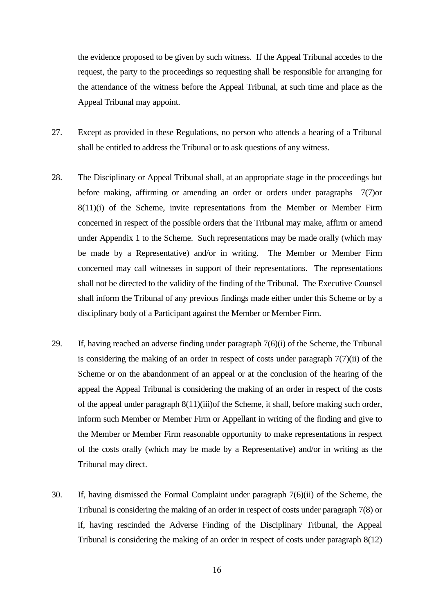the evidence proposed to be given by such witness. If the Appeal Tribunal accedes to the request, the party to the proceedings so requesting shall be responsible for arranging for the attendance of the witness before the Appeal Tribunal, at such time and place as the Appeal Tribunal may appoint.

- 27. Except as provided in these Regulations, no person who attends a hearing of a Tribunal shall be entitled to address the Tribunal or to ask questions of any witness.
- 28. The Disciplinary or Appeal Tribunal shall, at an appropriate stage in the proceedings but before making, affirming or amending an order or orders under paragraphs 7(7)or 8(11)(i) of the Scheme, invite representations from the Member or Member Firm concerned in respect of the possible orders that the Tribunal may make, affirm or amend under Appendix 1 to the Scheme. Such representations may be made orally (which may be made by a Representative) and/or in writing. The Member or Member Firm concerned may call witnesses in support of their representations. The representations shall not be directed to the validity of the finding of the Tribunal. The Executive Counsel shall inform the Tribunal of any previous findings made either under this Scheme or by a disciplinary body of a Participant against the Member or Member Firm.
- 29. If, having reached an adverse finding under paragraph 7(6)(i) of the Scheme, the Tribunal is considering the making of an order in respect of costs under paragraph 7(7)(ii) of the Scheme or on the abandonment of an appeal or at the conclusion of the hearing of the appeal the Appeal Tribunal is considering the making of an order in respect of the costs of the appeal under paragraph 8(11)(iii)of the Scheme, it shall, before making such order, inform such Member or Member Firm or Appellant in writing of the finding and give to the Member or Member Firm reasonable opportunity to make representations in respect of the costs orally (which may be made by a Representative) and/or in writing as the Tribunal may direct.
- 30. If, having dismissed the Formal Complaint under paragraph 7(6)(ii) of the Scheme, the Tribunal is considering the making of an order in respect of costs under paragraph 7(8) or if, having rescinded the Adverse Finding of the Disciplinary Tribunal, the Appeal Tribunal is considering the making of an order in respect of costs under paragraph 8(12)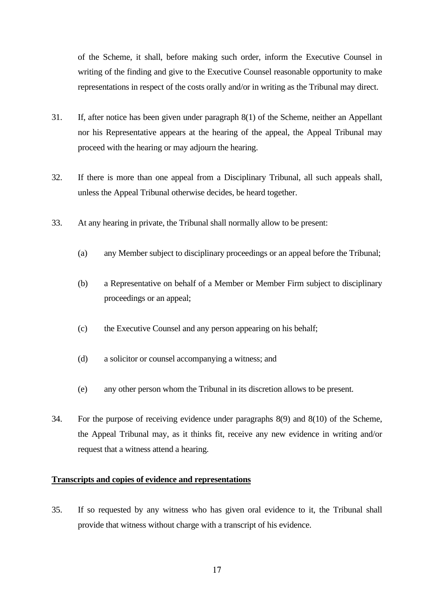of the Scheme, it shall, before making such order, inform the Executive Counsel in writing of the finding and give to the Executive Counsel reasonable opportunity to make representations in respect of the costs orally and/or in writing as the Tribunal may direct.

- 31. If, after notice has been given under paragraph 8(1) of the Scheme, neither an Appellant nor his Representative appears at the hearing of the appeal, the Appeal Tribunal may proceed with the hearing or may adjourn the hearing.
- 32. If there is more than one appeal from a Disciplinary Tribunal, all such appeals shall, unless the Appeal Tribunal otherwise decides, be heard together.
- 33. At any hearing in private, the Tribunal shall normally allow to be present:
	- (a) any Member subject to disciplinary proceedings or an appeal before the Tribunal;
	- (b) a Representative on behalf of a Member or Member Firm subject to disciplinary proceedings or an appeal;
	- (c) the Executive Counsel and any person appearing on his behalf;
	- (d) a solicitor or counsel accompanying a witness; and
	- (e) any other person whom the Tribunal in its discretion allows to be present.
- 34. For the purpose of receiving evidence under paragraphs 8(9) and 8(10) of the Scheme, the Appeal Tribunal may, as it thinks fit, receive any new evidence in writing and/or request that a witness attend a hearing.

### **Transcripts and copies of evidence and representations**

35. If so requested by any witness who has given oral evidence to it, the Tribunal shall provide that witness without charge with a transcript of his evidence.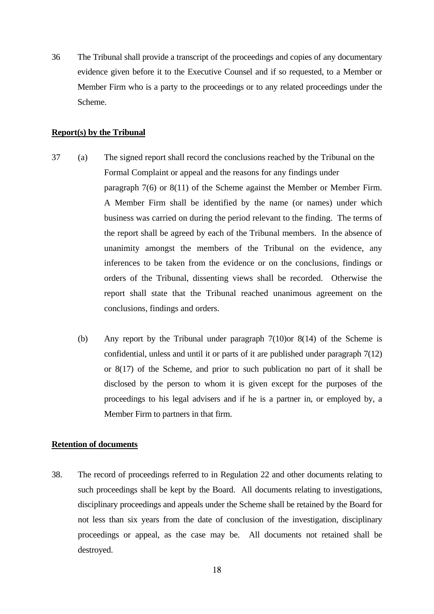36 The Tribunal shall provide a transcript of the proceedings and copies of any documentary evidence given before it to the Executive Counsel and if so requested, to a Member or Member Firm who is a party to the proceedings or to any related proceedings under the Scheme.

#### **Report(s) by the Tribunal**

- 37 (a) The signed report shall record the conclusions reached by the Tribunal on the Formal Complaint or appeal and the reasons for any findings under paragraph 7(6) or 8(11) of the Scheme against the Member or Member Firm. A Member Firm shall be identified by the name (or names) under which business was carried on during the period relevant to the finding. The terms of the report shall be agreed by each of the Tribunal members. In the absence of unanimity amongst the members of the Tribunal on the evidence, any inferences to be taken from the evidence or on the conclusions, findings or orders of the Tribunal, dissenting views shall be recorded. Otherwise the report shall state that the Tribunal reached unanimous agreement on the conclusions, findings and orders.
	- (b) Any report by the Tribunal under paragraph 7(10)or 8(14) of the Scheme is confidential, unless and until it or parts of it are published under paragraph 7(12) or 8(17) of the Scheme, and prior to such publication no part of it shall be disclosed by the person to whom it is given except for the purposes of the proceedings to his legal advisers and if he is a partner in, or employed by, a Member Firm to partners in that firm.

### **Retention of documents**

38. The record of proceedings referred to in Regulation 22 and other documents relating to such proceedings shall be kept by the Board. All documents relating to investigations, disciplinary proceedings and appeals under the Scheme shall be retained by the Board for not less than six years from the date of conclusion of the investigation, disciplinary proceedings or appeal, as the case may be. All documents not retained shall be destroyed.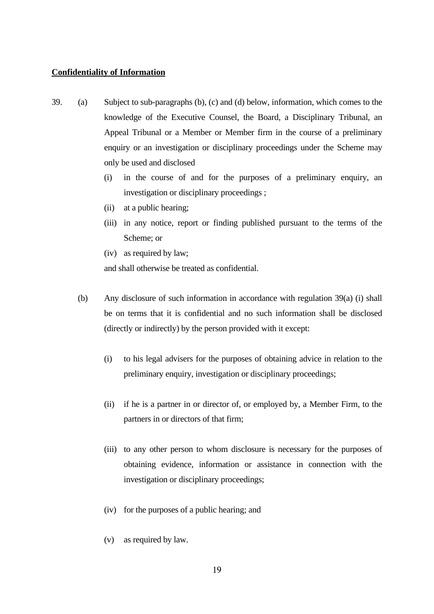#### **Confidentiality of Information**

- 39. (a) Subject to sub-paragraphs (b), (c) and (d) below, information, which comes to the knowledge of the Executive Counsel, the Board, a Disciplinary Tribunal, an Appeal Tribunal or a Member or Member firm in the course of a preliminary enquiry or an investigation or disciplinary proceedings under the Scheme may only be used and disclosed
	- (i) in the course of and for the purposes of a preliminary enquiry, an investigation or disciplinary proceedings ;
	- (ii) at a public hearing;
	- (iii) in any notice, report or finding published pursuant to the terms of the Scheme; or
	- (iv) as required by law;

and shall otherwise be treated as confidential.

- (b) Any disclosure of such information in accordance with regulation 39(a) (i) shall be on terms that it is confidential and no such information shall be disclosed (directly or indirectly) by the person provided with it except:
	- (i) to his legal advisers for the purposes of obtaining advice in relation to the preliminary enquiry, investigation or disciplinary proceedings;
	- (ii) if he is a partner in or director of, or employed by, a Member Firm, to the partners in or directors of that firm;
	- (iii) to any other person to whom disclosure is necessary for the purposes of obtaining evidence, information or assistance in connection with the investigation or disciplinary proceedings;
	- (iv) for the purposes of a public hearing; and
	- (v) as required by law.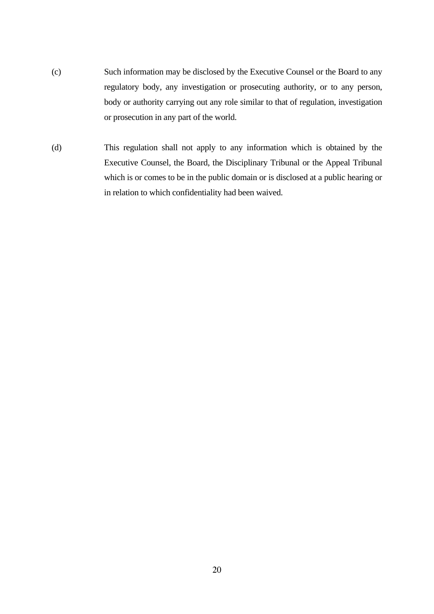- (c) Such information may be disclosed by the Executive Counsel or the Board to any regulatory body, any investigation or prosecuting authority, or to any person, body or authority carrying out any role similar to that of regulation, investigation or prosecution in any part of the world.
- (d) This regulation shall not apply to any information which is obtained by the Executive Counsel, the Board, the Disciplinary Tribunal or the Appeal Tribunal which is or comes to be in the public domain or is disclosed at a public hearing or in relation to which confidentiality had been waived.